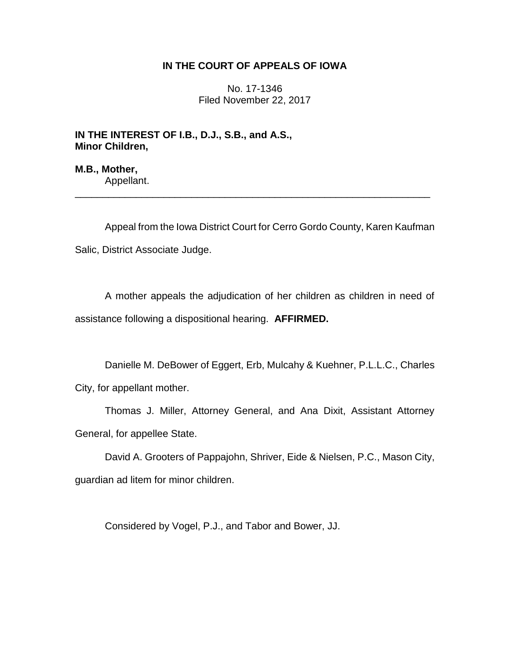## **IN THE COURT OF APPEALS OF IOWA**

No. 17-1346 Filed November 22, 2017

**IN THE INTEREST OF I.B., D.J., S.B., and A.S., Minor Children,**

**M.B., Mother,** Appellant.

Appeal from the Iowa District Court for Cerro Gordo County, Karen Kaufman Salic, District Associate Judge.

\_\_\_\_\_\_\_\_\_\_\_\_\_\_\_\_\_\_\_\_\_\_\_\_\_\_\_\_\_\_\_\_\_\_\_\_\_\_\_\_\_\_\_\_\_\_\_\_\_\_\_\_\_\_\_\_\_\_\_\_\_\_\_\_

A mother appeals the adjudication of her children as children in need of assistance following a dispositional hearing. **AFFIRMED.**

Danielle M. DeBower of Eggert, Erb, Mulcahy & Kuehner, P.L.L.C., Charles City, for appellant mother.

Thomas J. Miller, Attorney General, and Ana Dixit, Assistant Attorney General, for appellee State.

David A. Grooters of Pappajohn, Shriver, Eide & Nielsen, P.C., Mason City, guardian ad litem for minor children.

Considered by Vogel, P.J., and Tabor and Bower, JJ.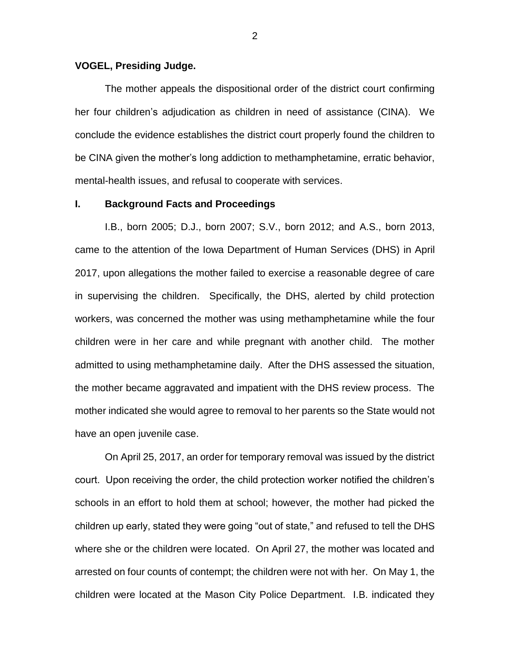### **VOGEL, Presiding Judge.**

The mother appeals the dispositional order of the district court confirming her four children's adjudication as children in need of assistance (CINA). We conclude the evidence establishes the district court properly found the children to be CINA given the mother's long addiction to methamphetamine, erratic behavior, mental-health issues, and refusal to cooperate with services.

#### **I. Background Facts and Proceedings**

I.B., born 2005; D.J., born 2007; S.V., born 2012; and A.S., born 2013, came to the attention of the Iowa Department of Human Services (DHS) in April 2017, upon allegations the mother failed to exercise a reasonable degree of care in supervising the children. Specifically, the DHS, alerted by child protection workers, was concerned the mother was using methamphetamine while the four children were in her care and while pregnant with another child. The mother admitted to using methamphetamine daily. After the DHS assessed the situation, the mother became aggravated and impatient with the DHS review process. The mother indicated she would agree to removal to her parents so the State would not have an open juvenile case.

On April 25, 2017, an order for temporary removal was issued by the district court. Upon receiving the order, the child protection worker notified the children's schools in an effort to hold them at school; however, the mother had picked the children up early, stated they were going "out of state," and refused to tell the DHS where she or the children were located. On April 27, the mother was located and arrested on four counts of contempt; the children were not with her. On May 1, the children were located at the Mason City Police Department. I.B. indicated they

2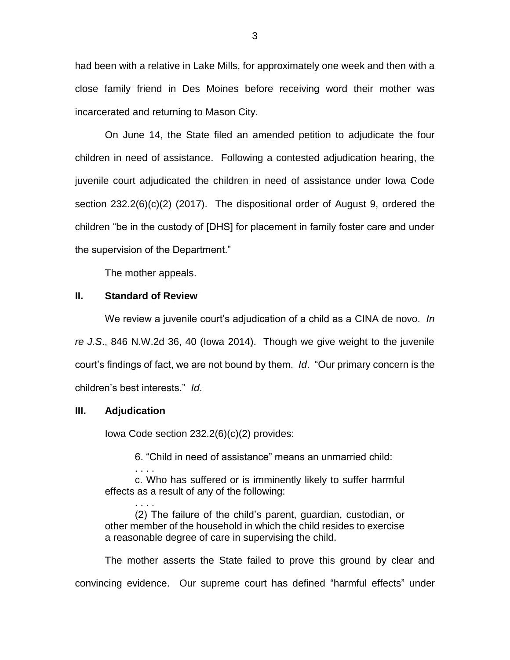had been with a relative in Lake Mills, for approximately one week and then with a close family friend in Des Moines before receiving word their mother was incarcerated and returning to Mason City.

On June 14, the State filed an amended petition to adjudicate the four children in need of assistance. Following a contested adjudication hearing, the juvenile court adjudicated the children in need of assistance under Iowa Code section 232.2(6)(c)(2) (2017). The dispositional order of August 9, ordered the children "be in the custody of [DHS] for placement in family foster care and under the supervision of the Department."

The mother appeals.

### **II. Standard of Review**

We review a juvenile court's adjudication of a child as a CINA de novo. *In re J.S*., 846 N.W.2d 36, 40 (Iowa 2014). Though we give weight to the juvenile court's findings of fact, we are not bound by them. *Id*. "Our primary concern is the children's best interests." *Id*.

### **III. Adjudication**

. . . .

Iowa Code section 232.2(6)(c)(2) provides:

6. "Child in need of assistance" means an unmarried child:

. . . . c. Who has suffered or is imminently likely to suffer harmful effects as a result of any of the following:

(2) The failure of the child's parent, guardian, custodian, or other member of the household in which the child resides to exercise a reasonable degree of care in supervising the child.

The mother asserts the State failed to prove this ground by clear and convincing evidence. Our supreme court has defined "harmful effects" under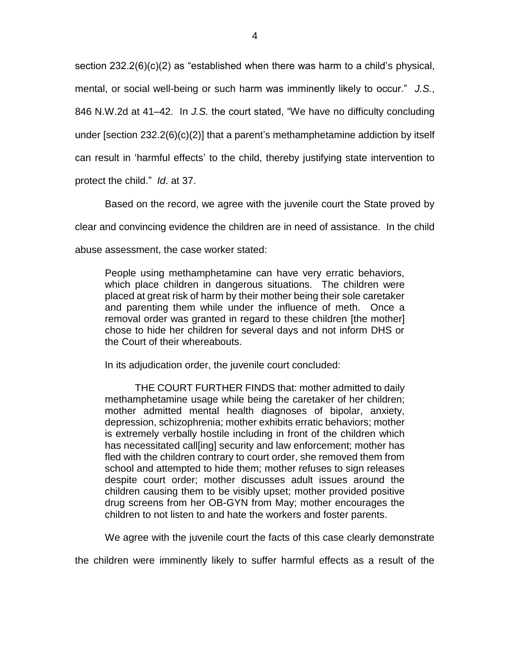section 232.2(6)(c)(2) as "established when there was harm to a child's physical, mental, or social well-being or such harm was imminently likely to occur." *J.S.*, 846 N.W.2d at 41–42. In *J.S.* the court stated, "We have no difficulty concluding under [section 232.2(6)(c)(2)] that a parent's methamphetamine addiction by itself can result in 'harmful effects' to the child, thereby justifying state intervention to protect the child." *Id*. at 37.

Based on the record, we agree with the juvenile court the State proved by clear and convincing evidence the children are in need of assistance. In the child abuse assessment, the case worker stated:

People using methamphetamine can have very erratic behaviors, which place children in dangerous situations. The children were placed at great risk of harm by their mother being their sole caretaker and parenting them while under the influence of meth. Once a removal order was granted in regard to these children [the mother] chose to hide her children for several days and not inform DHS or the Court of their whereabouts.

In its adjudication order, the juvenile court concluded:

THE COURT FURTHER FINDS that: mother admitted to daily methamphetamine usage while being the caretaker of her children; mother admitted mental health diagnoses of bipolar, anxiety, depression, schizophrenia; mother exhibits erratic behaviors; mother is extremely verbally hostile including in front of the children which has necessitated call[ing] security and law enforcement; mother has fled with the children contrary to court order, she removed them from school and attempted to hide them; mother refuses to sign releases despite court order; mother discusses adult issues around the children causing them to be visibly upset; mother provided positive drug screens from her OB-GYN from May; mother encourages the children to not listen to and hate the workers and foster parents.

We agree with the juvenile court the facts of this case clearly demonstrate

the children were imminently likely to suffer harmful effects as a result of the